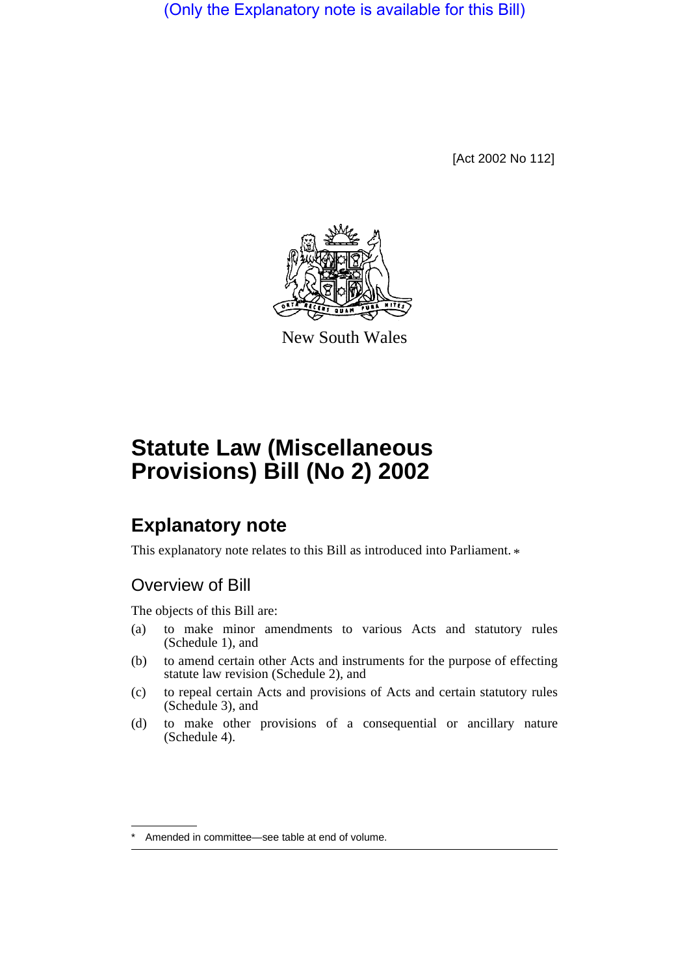(Only the Explanatory note is available for this Bill)

[Act 2002 No 112]



New South Wales

# **Statute Law (Miscellaneous Provisions) Bill (No 2) 2002**

# **Explanatory note**

This explanatory note relates to this Bill as introduced into Parliament.  $*$ 

# Overview of Bill

The objects of this Bill are:

- (a) to make minor amendments to various Acts and statutory rules (Schedule 1), and
- (b) to amend certain other Acts and instruments for the purpose of effecting statute law revision (Schedule 2), and
- (c) to repeal certain Acts and provisions of Acts and certain statutory rules (Schedule 3), and
- (d) to make other provisions of a consequential or ancillary nature (Schedule 4).

Amended in committee—see table at end of volume.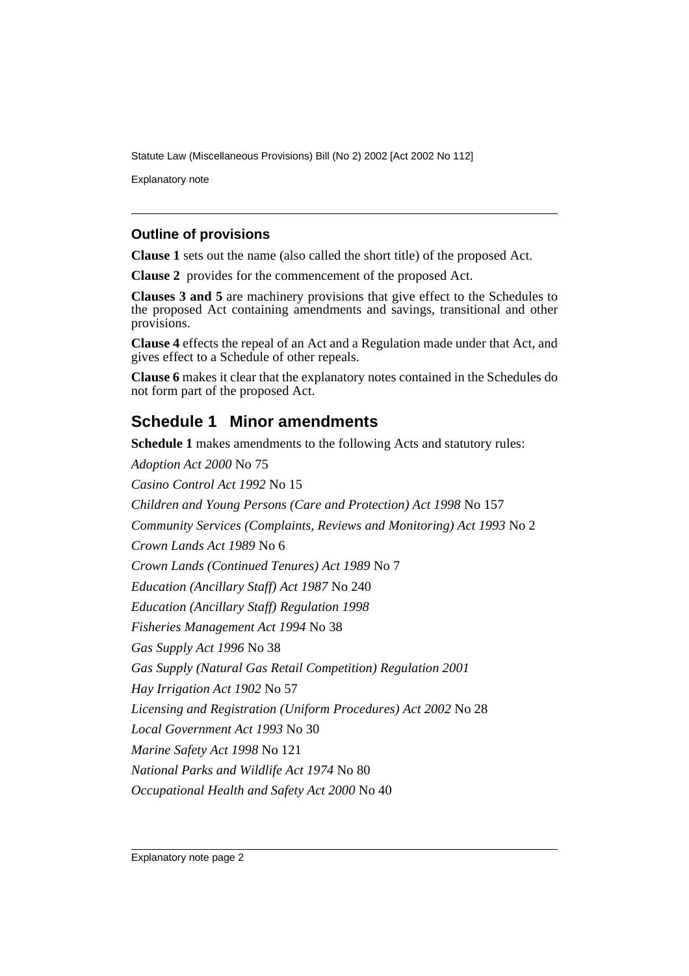Statute Law (Miscellaneous Provisions) Bill (No 2) 2002 [Act 2002 No 112]

Explanatory note

#### **Outline of provisions**

**Clause 1** sets out the name (also called the short title) of the proposed Act.

**Clause 2** provides for the commencement of the proposed Act.

**Clauses 3 and 5** are machinery provisions that give effect to the Schedules to the proposed Act containing amendments and savings, transitional and other provisions.

**Clause 4** effects the repeal of an Act and a Regulation made under that Act, and gives effect to a Schedule of other repeals.

**Clause 6** makes it clear that the explanatory notes contained in the Schedules do not form part of the proposed Act.

### **Schedule 1 Minor amendments**

**Schedule 1** makes amendments to the following Acts and statutory rules: *Adoption Act 2000* No 75 *Casino Control Act 1992* No 15 *Children and Young Persons (Care and Protection) Act 1998* No 157 *Community Services (Complaints, Reviews and Monitoring) Act 1993* No 2 *Crown Lands Act 1989* No 6 *Crown Lands (Continued Tenures) Act 1989* No 7 *Education (Ancillary Staff) Act 1987* No 240 *Education (Ancillary Staff) Regulation 1998 Fisheries Management Act 1994* No 38 *Gas Supply Act 1996* No 38 *Gas Supply (Natural Gas Retail Competition) Regulation 2001 Hay Irrigation Act 1902* No 57 *Licensing and Registration (Uniform Procedures) Act 2002* No 28 *Local Government Act 1993* No 30 *Marine Safety Act 1998* No 121 *National Parks and Wildlife Act 1974* No 80 *Occupational Health and Safety Act 2000* No 40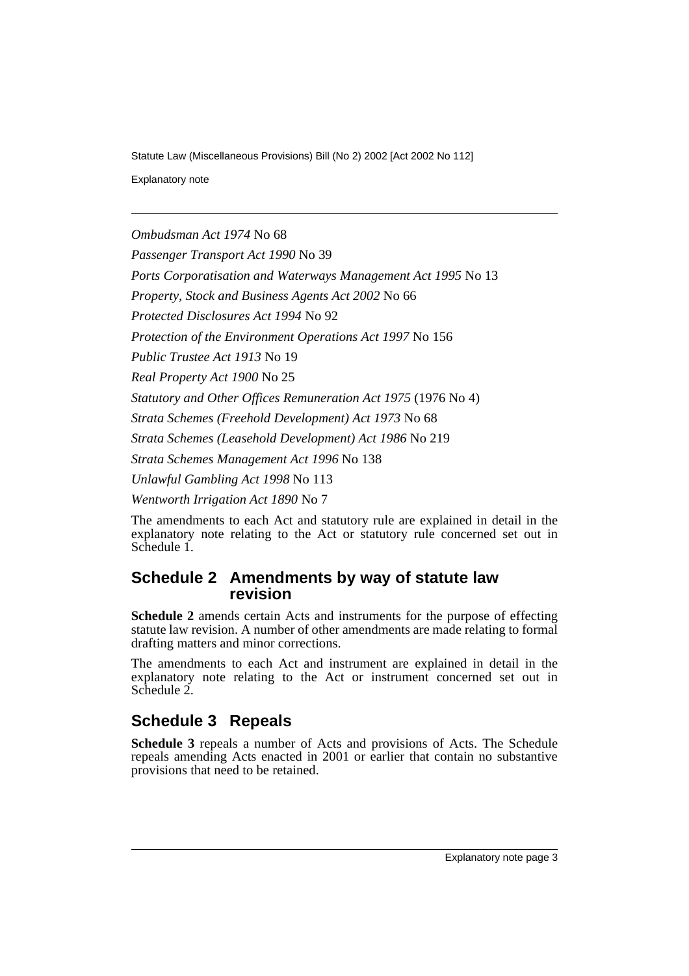Statute Law (Miscellaneous Provisions) Bill (No 2) 2002 [Act 2002 No 112]

Explanatory note

*Ombudsman Act 1974* No 68

*Passenger Transport Act 1990* No 39

*Ports Corporatisation and Waterways Management Act 1995* No 13

*Property, Stock and Business Agents Act 2002* No 66

*Protected Disclosures Act 1994* No 92

*Protection of the Environment Operations Act 1997* No 156

*Public Trustee Act 1913* No 19

*Real Property Act 1900* No 25

*Statutory and Other Offices Remuneration Act 1975* (1976 No 4)

*Strata Schemes (Freehold Development) Act 1973* No 68

*Strata Schemes (Leasehold Development) Act 1986* No 219

*Strata Schemes Management Act 1996* No 138

*Unlawful Gambling Act 1998* No 113

*Wentworth Irrigation Act 1890* No 7

The amendments to each Act and statutory rule are explained in detail in the explanatory note relating to the Act or statutory rule concerned set out in Schedule 1.

#### **Schedule 2 Amendments by way of statute law revision**

**Schedule 2** amends certain Acts and instruments for the purpose of effecting statute law revision. A number of other amendments are made relating to formal drafting matters and minor corrections.

The amendments to each Act and instrument are explained in detail in the explanatory note relating to the Act or instrument concerned set out in Schedule 2.

## **Schedule 3 Repeals**

**Schedule 3** repeals a number of Acts and provisions of Acts. The Schedule repeals amending Acts enacted in 2001 or earlier that contain no substantive provisions that need to be retained.